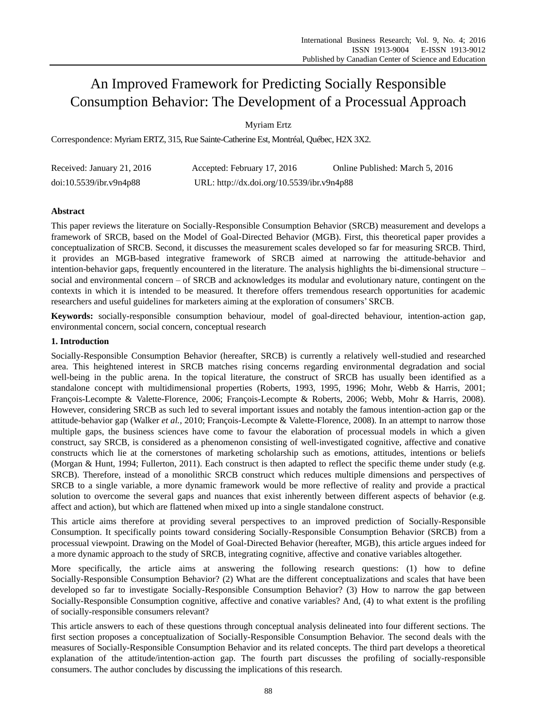# An Improved Framework for Predicting Socially Responsible Consumption Behavior: The Development of a Processual Approach

Myriam Ertz

Correspondence: Myriam ERTZ, 315, Rue Sainte-Catherine Est, Montréal, Québec, H2X 3X2.

| Received: January 21, 2016 | Accepted: February 17, 2016                | Online Published: March 5, 2016 |
|----------------------------|--------------------------------------------|---------------------------------|
| doi:10.5539/ibr.v9n4p88    | URL: http://dx.doi.org/10.5539/ibr.v9n4p88 |                                 |

# **Abstract**

This paper reviews the literature on Socially-Responsible Consumption Behavior (SRCB) measurement and develops a framework of SRCB, based on the Model of Goal-Directed Behavior (MGB). First, this theoretical paper provides a conceptualization of SRCB. Second, it discusses the measurement scales developed so far for measuring SRCB. Third, it provides an MGB-based integrative framework of SRCB aimed at narrowing the attitude-behavior and intention-behavior gaps, frequently encountered in the literature. The analysis highlights the bi-dimensional structure – social and environmental concern – of SRCB and acknowledges its modular and evolutionary nature, contingent on the contexts in which it is intended to be measured. It therefore offers tremendous research opportunities for academic researchers and useful guidelines for marketers aiming at the exploration of consumers' SRCB.

**Keywords:** socially-responsible consumption behaviour, model of goal-directed behaviour, intention-action gap, environmental concern, social concern, conceptual research

# **1. Introduction**

Socially-Responsible Consumption Behavior (hereafter, SRCB) is currently a relatively well-studied and researched area. This heightened interest in SRCB matches rising concerns regarding environmental degradation and social well-being in the public arena. In the topical literature, the construct of SRCB has usually been identified as a standalone concept with multidimensional properties (Roberts, 1993, 1995, 1996; Mohr, Webb & Harris, 2001; François-Lecompte & Valette-Florence, 2006; François-Lecompte & Roberts, 2006; Webb, Mohr & Harris, 2008). However, considering SRCB as such led to several important issues and notably the famous intention-action gap or the attitude-behavior gap (Walker *et al.,* 2010; François-Lecompte & Valette-Florence, 2008). In an attempt to narrow those multiple gaps, the business sciences have come to favour the elaboration of processual models in which a given construct, say SRCB, is considered as a phenomenon consisting of well-investigated cognitive, affective and conative constructs which lie at the cornerstones of marketing scholarship such as emotions, attitudes, intentions or beliefs (Morgan & Hunt, 1994; Fullerton, 2011). Each construct is then adapted to reflect the specific theme under study (e.g. SRCB). Therefore, instead of a monolithic SRCB construct which reduces multiple dimensions and perspectives of SRCB to a single variable, a more dynamic framework would be more reflective of reality and provide a practical solution to overcome the several gaps and nuances that exist inherently between different aspects of behavior (e.g. affect and action), but which are flattened when mixed up into a single standalone construct.

This article aims therefore at providing several perspectives to an improved prediction of Socially-Responsible Consumption. It specifically points toward considering Socially-Responsible Consumption Behavior (SRCB) from a processual viewpoint. Drawing on the Model of Goal-Directed Behavior (hereafter, MGB), this article argues indeed for a more dynamic approach to the study of SRCB, integrating cognitive, affective and conative variables altogether.

More specifically, the article aims at answering the following research questions: (1) how to define Socially-Responsible Consumption Behavior? (2) What are the different conceptualizations and scales that have been developed so far to investigate Socially-Responsible Consumption Behavior? (3) How to narrow the gap between Socially-Responsible Consumption cognitive, affective and conative variables? And, (4) to what extent is the profiling of socially-responsible consumers relevant?

This article answers to each of these questions through conceptual analysis delineated into four different sections. The first section proposes a conceptualization of Socially-Responsible Consumption Behavior. The second deals with the measures of Socially-Responsible Consumption Behavior and its related concepts. The third part develops a theoretical explanation of the attitude/intention-action gap. The fourth part discusses the profiling of socially-responsible consumers. The author concludes by discussing the implications of this research.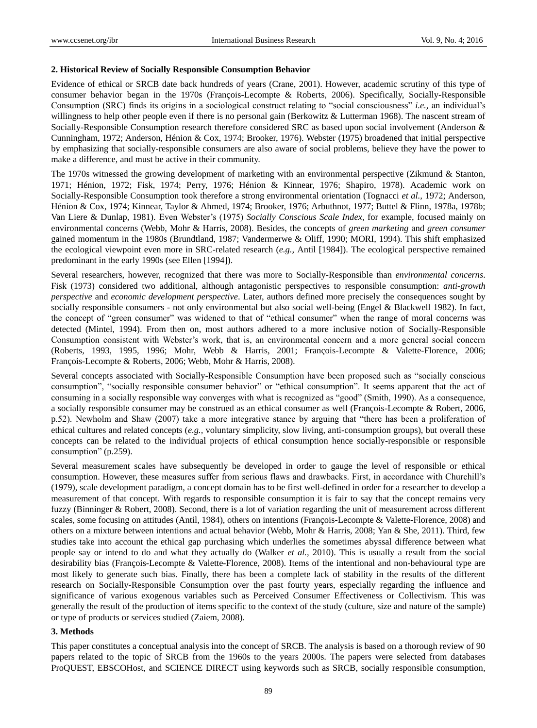## **2. Historical Review of Socially Responsible Consumption Behavior**

Evidence of ethical or SRCB date back hundreds of years (Crane, 2001). However, academic scrutiny of this type of consumer behavior began in the 1970s (François-Lecompte & Roberts, 2006). Specifically, Socially-Responsible Consumption (SRC) finds its origins in a sociological construct relating to "social consciousness" *i.e.,* an individual's willingness to help other people even if there is no personal gain (Berkowitz & Lutterman 1968). The nascent stream of Socially-Responsible Consumption research therefore considered SRC as based upon social involvement (Anderson & Cunningham, 1972; Anderson, Hénion & Cox, 1974; Brooker, 1976). Webster (1975) broadened that initial perspective by emphasizing that socially-responsible consumers are also aware of social problems, believe they have the power to make a difference, and must be active in their community.

The 1970s witnessed the growing development of marketing with an environmental perspective (Zikmund & Stanton, 1971; Hénion, 1972; Fisk, 1974; Perry, 1976; Hénion & Kinnear, 1976; Shapiro, 1978). Academic work on Socially-Responsible Consumption took therefore a strong environmental orientation (Tognacci *et al.,* 1972; Anderson, Hénion & Cox, 1974; Kinnear, Taylor & Ahmed, 1974; Brooker, 1976; Arbuthnot, 1977; Buttel & Flinn, 1978a, 1978b; Van Liere & Dunlap, 1981). Even Webster's (1975) *Socially Conscious Scale Index*, for example, focused mainly on environmental concerns (Webb, Mohr & Harris, 2008). Besides, the concepts of *green marketing* and *green consumer* gained momentum in the 1980s (Brundtland, 1987; Vandermerwe & Oliff, 1990; MORI, 1994). This shift emphasized the ecological viewpoint even more in SRC-related research (*e.g.,* Antil [1984]). The ecological perspective remained predominant in the early 1990s (see Ellen [1994]).

Several researchers, however, recognized that there was more to Socially-Responsible than *environmental concerns*. Fisk (1973) considered two additional, although antagonistic perspectives to responsible consumption: *anti-growth perspective* and *economic development perspective*. Later, authors defined more precisely the consequences sought by socially responsible consumers - not only environmental but also social well-being (Engel & Blackwell 1982). In fact, the concept of "green consumer" was widened to that of "ethical consumer" when the range of moral concerns was detected (Mintel, 1994). From then on, most authors adhered to a more inclusive notion of Socially-Responsible Consumption consistent with Webster's work, that is, an environmental concern and a more general social concern (Roberts, 1993, 1995, 1996; Mohr, Webb & Harris, 2001; François-Lecompte & Valette-Florence, 2006; François-Lecompte & Roberts, 2006; Webb, Mohr & Harris, 2008).

Several concepts associated with Socially-Responsible Consumption have been proposed such as "socially conscious consumption", "socially responsible consumer behavior" or "ethical consumption". It seems apparent that the act of consuming in a socially responsible way converges with what is recognized as "good" (Smith, 1990). As a consequence, a socially responsible consumer may be construed as an ethical consumer as well (François-Lecompte & Robert, 2006, p.52). Newholm and Shaw (2007) take a more integrative stance by arguing that "there has been a proliferation of ethical cultures and related concepts (*e.g.,* voluntary simplicity, slow living, anti-consumption groups), but overall these concepts can be related to the individual projects of ethical consumption hence socially-responsible or responsible consumption" (p.259).

Several measurement scales have subsequently be developed in order to gauge the level of responsible or ethical consumption. However, these measures suffer from serious flaws and drawbacks. First, in accordance with Churchill's (1979), scale development paradigm, a concept domain has to be first well-defined in order for a researcher to develop a measurement of that concept. With regards to responsible consumption it is fair to say that the concept remains very fuzzy (Binninger & Robert, 2008). Second, there is a lot of variation regarding the unit of measurement across different scales, some focusing on attitudes (Antil, 1984), others on intentions (François-Lecompte & Valette-Florence, 2008) and others on a mixture between intentions and actual behavior (Webb, Mohr & Harris, 2008; Yan & She, 2011). Third, few studies take into account the ethical gap purchasing which underlies the sometimes abyssal difference between what people say or intend to do and what they actually do (Walker *et al.,* 2010). This is usually a result from the social desirability bias (Fran cois-Lecompte & Valette-Florence, 2008). Items of the intentional and non-behavioural type are most likely to generate such bias. Finally, there has been a complete lack of stability in the results of the different research on Socially-Responsible Consumption over the past fourty years, especially regarding the influence and significance of various exogenous variables such as Perceived Consumer Effectiveness or Collectivism. This was generally the result of the production of items specific to the context of the study (culture, size and nature of the sample) or type of products or services studied (Zaiem, 2008).

# **3. Methods**

This paper constitutes a conceptual analysis into the concept of SRCB. The analysis is based on a thorough review of 90 papers related to the topic of SRCB from the 1960s to the years 2000s. The papers were selected from databases ProQUEST, EBSCOHost, and SCIENCE DIRECT using keywords such as SRCB, socially responsible consumption,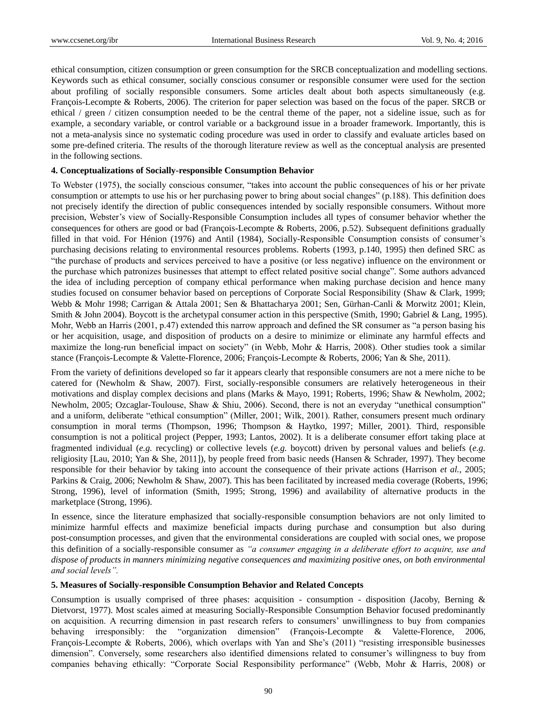ethical consumption, citizen consumption or green consumption for the SRCB conceptualization and modelling sections. Keywords such as ethical consumer, socially conscious consumer or responsible consumer were used for the section about profiling of socially responsible consumers. Some articles dealt about both aspects simultaneously (e.g. Fran cois-Lecompte & Roberts, 2006). The criterion for paper selection was based on the focus of the paper. SRCB or ethical / green / citizen consumption needed to be the central theme of the paper, not a sideline issue, such as for example, a secondary variable, or control variable or a background issue in a broader framework. Importantly, this is not a meta-analysis since no systematic coding procedure was used in order to classify and evaluate articles based on some pre-defined criteria. The results of the thorough literature review as well as the conceptual analysis are presented in the following sections.

# **4. Conceptualizations of Socially-responsible Consumption Behavior**

To Webster (1975), the socially conscious consumer, "takes into account the public consequences of his or her private consumption or attempts to use his or her purchasing power to bring about social changes" (p.188). This definition does not precisely identify the direction of public consequences intended by socially responsible consumers. Without more precision, Webster's view of Socially-Responsible Consumption includes all types of consumer behavior whether the consequences for others are good or bad (François-Lecompte & Roberts, 2006, p.52). Subsequent definitions gradually filled in that void. For Hénion (1976) and Antil (1984), Socially-Responsible Consumption consists of consumer's purchasing decisions relating to environmental resources problems. Roberts (1993, p.140, 1995) then defined SRC as "the purchase of products and services perceived to have a positive (or less negative) influence on the environment or the purchase which patronizes businesses that attempt to effect related positive social change". Some authors advanced the idea of including perception of company ethical performance when making purchase decision and hence many studies focused on consumer behavior based on perceptions of Corporate Social Responsibility (Shaw & Clark, 1999; Webb & Mohr 1998; Carrigan & Attala 2001; Sen & Bhattacharya 2001; Sen, Gürhan-Canli & Morwitz 2001; Klein, Smith & John 2004). Boycott is the archetypal consumer action in this perspective (Smith, 1990; Gabriel & Lang, 1995). Mohr, Webb an Harris (2001, p.47) extended this narrow approach and defined the SR consumer as "a person basing his or her acquisition, usage, and disposition of products on a desire to minimize or eliminate any harmful effects and maximize the long-run beneficial impact on society" (in Webb, Mohr & Harris, 2008). Other studies took a similar stance (Fran çois-Lecompte & Valette-Florence, 2006; Fran çois-Lecompte & Roberts, 2006; Yan & She, 2011).

From the variety of definitions developed so far it appears clearly that responsible consumers are not a mere niche to be catered for (Newholm & Shaw, 2007). First, socially-responsible consumers are relatively heterogeneous in their motivations and display complex decisions and plans (Marks & Mayo, 1991; Roberts, 1996; Shaw & Newholm, 2002; Newholm, 2005; Ozcaglar-Toulouse, Shaw & Shiu, 2006). Second, there is not an everyday "unethical consumption" and a uniform, deliberate "ethical consumption" (Miller, 2001; Wilk, 2001). Rather, consumers present much ordinary consumption in moral terms (Thompson, 1996; Thompson & Haytko, 1997; Miller, 2001). Third, responsible consumption is not a political project (Pepper, 1993; Lantos, 2002). It is a deliberate consumer effort taking place at fragmented individual (*e.g.* recycling) or collective levels (*e.g.* boycott) driven by personal values and beliefs (*e.g.* religiosity [Lau, 2010; Yan & She, 2011]), by people freed from basic needs (Hansen & Schrader, 1997). They become responsible for their behavior by taking into account the consequence of their private actions (Harrison *et al.,* 2005; Parkins & Craig, 2006; Newholm & Shaw, 2007). This has been facilitated by increased media coverage (Roberts, 1996; Strong, 1996), level of information (Smith, 1995; Strong, 1996) and availability of alternative products in the marketplace (Strong, 1996).

In essence, since the literature emphasized that socially-responsible consumption behaviors are not only limited to minimize harmful effects and maximize beneficial impacts during purchase and consumption but also during post-consumption processes, and given that the environmental considerations are coupled with social ones, we propose this definition of a socially-responsible consumer as *"a consumer engaging in a deliberate effort to acquire, use and dispose of products in manners minimizing negative consequences and maximizing positive ones, on both environmental and social levels".*

# **5. Measures of Socially-responsible Consumption Behavior and Related Concepts**

Consumption is usually comprised of three phases: acquisition - consumption - disposition (Jacoby, Berning & Dietvorst, 1977). Most scales aimed at measuring Socially-Responsible Consumption Behavior focused predominantly on acquisition. A recurring dimension in past research refers to consumers' unwillingness to buy from companies behaving irresponsibly: the "organization dimension" (François-Lecompte & Valette-Florence, 2006, Fran  $\omega$ is-Lecompte & Roberts, 2006), which overlaps with Yan and She's (2011) "resisting irresponsible businesses dimension". Conversely, some researchers also identified dimensions related to consumer's willingness to buy from companies behaving ethically: "Corporate Social Responsibility performance" (Webb, Mohr & Harris, 2008) or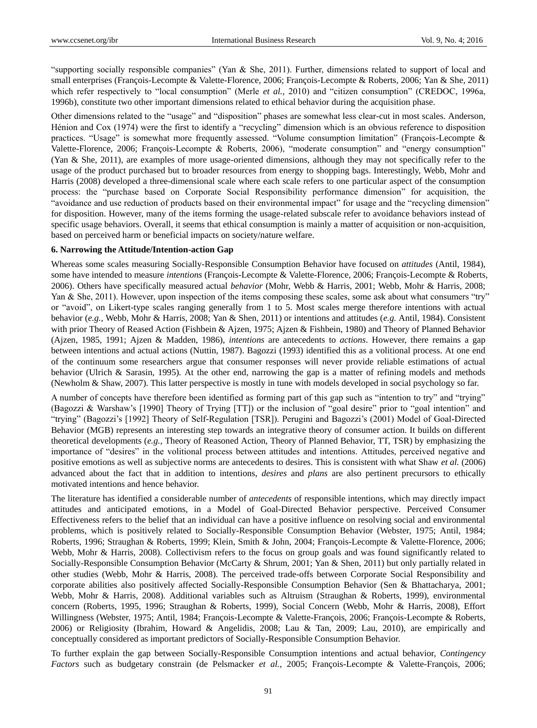"supporting socially responsible companies" (Yan & She, 2011). Further, dimensions related to support of local and small enterprises (Fran  $\ddot{\omega}$ is-Lecompte & Valette-Florence, 2006; Fran  $\ddot{\omega}$ is-Lecompte & Roberts, 2006; Yan & She, 2011) which refer respectively to "local consumption" (Merle *et al.*, 2010) and "citizen consumption" (CREDOC, 1996a, 1996b), constitute two other important dimensions related to ethical behavior during the acquisition phase.

Other dimensions related to the "usage" and "disposition" phases are somewhat less clear-cut in most scales. Anderson, Hénion and Cox (1974) were the first to identify a "recycling" dimension which is an obvious reference to disposition practices. "Usage" is somewhat more frequently assessed. "Volume consumption limitation" (François-Lecompte & Valette-Florence, 2006; François-Lecompte & Roberts, 2006), "moderate consumption" and "energy consumption" (Yan & She, 2011), are examples of more usage-oriented dimensions, although they may not specifically refer to the usage of the product purchased but to broader resources from energy to shopping bags. Interestingly, Webb, Mohr and Harris (2008) developed a three-dimensional scale where each scale refers to one particular aspect of the consumption process: the "purchase based on Corporate Social Responsibility performance dimension" for acquisition, the "avoidance and use reduction of products based on their environmental impact" for usage and the "recycling dimension" for disposition. However, many of the items forming the usage-related subscale refer to avoidance behaviors instead of specific usage behaviors. Overall, it seems that ethical consumption is mainly a matter of acquisition or non-acquisition, based on perceived harm or beneficial impacts on society/nature welfare.

#### **6. Narrowing the Attitude/Intention-action Gap**

Whereas some scales measuring Socially-Responsible Consumption Behavior have focused on *attitudes* (Antil, 1984), some have intended to measure *intentions* (Fran  $\varphi$ is-Lecompte & Valette-Florence, 2006; Fran  $\varphi$ is-Lecompte & Roberts, 2006). Others have specifically measured actual *behavior* (Mohr, Webb & Harris, 2001; Webb, Mohr & Harris, 2008; Yan & She, 2011). However, upon inspection of the items composing these scales, some ask about what consumers "try" or "avoid", on Likert-type scales ranging generally from 1 to 5. Most scales merge therefore intentions with actual behavior (*e.g.,* Webb, Mohr & Harris, 2008; Yan & Shen, 2011) or intentions and attitudes (*e.g.* Antil, 1984). Consistent with prior Theory of Reased Action (Fishbein & Ajzen, 1975; Ajzen & Fishbein, 1980) and Theory of Planned Behavior (Ajzen, 1985, 1991; Ajzen & Madden, 1986), *intentions* are antecedents to *actions*. However, there remains a gap between intentions and actual actions (Nuttin, 1987). Bagozzi (1993) identified this as a volitional process. At one end of the continuum some researchers argue that consumer responses will never provide reliable estimations of actual behavior (Ulrich & Sarasin, 1995). At the other end, narrowing the gap is a matter of refining models and methods (Newholm & Shaw, 2007). This latter perspective is mostly in tune with models developed in social psychology so far.

A number of concepts have therefore been identified as forming part of this gap such as "intention to try" and "trying" (Bagozzi & Warshaw's [1990] Theory of Trying [TT]) or the inclusion of "goal desire" prior to "goal intention" and "trying" (Bagozzi's [1992] Theory of Self-Regulation [TSR]). Perugini and Bagozzi's (2001) Model of Goal-Directed Behavior (MGB) represents an interesting step towards an integrative theory of consumer action. It builds on different theoretical developments (*e.g.,* Theory of Reasoned Action, Theory of Planned Behavior, TT, TSR) by emphasizing the importance of "desires" in the volitional process between attitudes and intentions. Attitudes, perceived negative and positive emotions as well as subjective norms are antecedents to desires. This is consistent with what Shaw *et al.* (2006) advanced about the fact that in addition to intentions, *desires* and *plans* are also pertinent precursors to ethically motivated intentions and hence behavior.

The literature has identified a considerable number of *antecedents* of responsible intentions, which may directly impact attitudes and anticipated emotions, in a Model of Goal-Directed Behavior perspective. Perceived Consumer Effectiveness refers to the belief that an individual can have a positive influence on resolving social and environmental problems, which is positively related to Socially-Responsible Consumption Behavior (Webster, 1975; Antil, 1984; Roberts, 1996; Straughan & Roberts, 1999; Klein, Smith & John, 2004; François-Lecompte & Valette-Florence, 2006; Webb, Mohr & Harris, 2008). Collectivism refers to the focus on group goals and was found significantly related to Socially-Responsible Consumption Behavior (McCarty & Shrum, 2001; Yan & Shen, 2011) but only partially related in other studies (Webb, Mohr & Harris, 2008). The perceived trade-offs between Corporate Social Responsibility and corporate abilities also positively affected Socially-Responsible Consumption Behavior (Sen & Bhattacharya, 2001; Webb, Mohr & Harris, 2008). Additional variables such as Altruism (Straughan & Roberts, 1999), environmental concern (Roberts, 1995, 1996; Straughan & Roberts, 1999), Social Concern (Webb, Mohr & Harris, 2008), Effort Willingness (Webster, 1975; Antil, 1984; Fran cois-Lecompte & Valette-Fran cois, 2006; Fran cois-Lecompte & Roberts, 2006) or Religiosity (Ibrahim, Howard & Angelidis, 2008; Lau & Tan, 2009; Lau, 2010), are empirically and conceptually considered as important predictors of Socially-Responsible Consumption Behavior.

To further explain the gap between Socially-Responsible Consumption intentions and actual behavior, *Contingency Factors* such as budgetary constrain (de Pelsmacker *et al.,* 2005; François-Lecompte & Valette-François, 2006;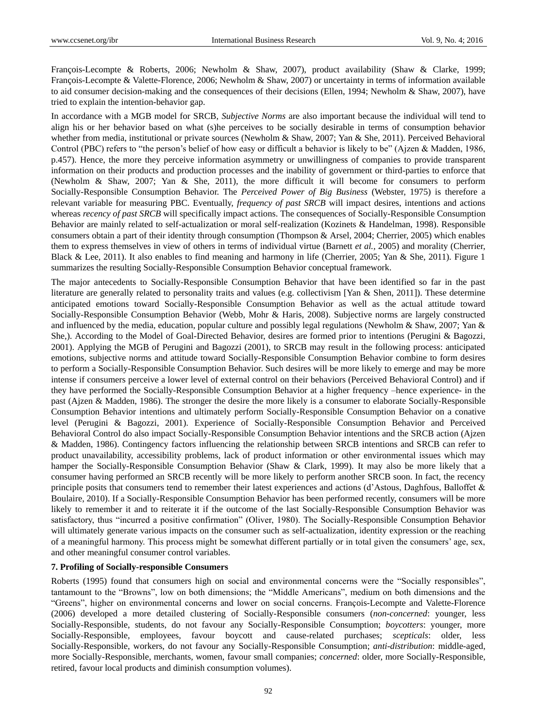François-Lecompte & Roberts, 2006; Newholm & Shaw, 2007), product availability (Shaw & Clarke, 1999; Fran cois-Lecompte & Valette-Florence, 2006; Newholm & Shaw, 2007) or uncertainty in terms of information available to aid consumer decision-making and the consequences of their decisions (Ellen, 1994; Newholm & Shaw, 2007), have tried to explain the intention-behavior gap.

In accordance with a MGB model for SRCB, *Subjective Norms* are also important because the individual will tend to align his or her behavior based on what (s)he perceives to be socially desirable in terms of consumption behavior whether from media, institutional or private sources (Newholm & Shaw, 2007; Yan & She, 2011). Perceived Behavioral Control (PBC) refers to "the person's belief of how easy or difficult a behavior is likely to be" (Ajzen & Madden, 1986, p.457). Hence, the more they perceive information asymmetry or unwillingness of companies to provide transparent information on their products and production processes and the inability of government or third-parties to enforce that (Newholm & Shaw, 2007; Yan & She, 2011), the more difficult it will become for consumers to perform Socially-Responsible Consumption Behavior. The *Perceived Power of Big Business* (Webster, 1975) is therefore a relevant variable for measuring PBC. Eventually, *frequency of past SRCB* will impact desires, intentions and actions whereas *recency of past SRCB* will specifically impact actions. The consequences of Socially-Responsible Consumption Behavior are mainly related to self-actualization or moral self-realization (Kozinets & Handelman, 1998). Responsible consumers obtain a part of their identity through consumption (Thompson & Arsel, 2004; Cherrier, 2005) which enables them to express themselves in view of others in terms of individual virtue (Barnett *et al.,* 2005) and morality (Cherrier, Black & Lee, 2011). It also enables to find meaning and harmony in life (Cherrier, 2005; Yan & She, 2011). Figure 1 summarizes the resulting Socially-Responsible Consumption Behavior conceptual framework.

The major antecedents to Socially-Responsible Consumption Behavior that have been identified so far in the past literature are generally related to personality traits and values (e.g. collectivism [Yan & Shen, 2011]). These determine anticipated emotions toward Socially-Responsible Consumption Behavior as well as the actual attitude toward Socially-Responsible Consumption Behavior (Webb, Mohr & Haris, 2008). Subjective norms are largely constructed and influenced by the media, education, popular culture and possibly legal regulations (Newholm & Shaw, 2007; Yan & She,). According to the Model of Goal-Directed Behavior, desires are formed prior to intentions (Perugini & Bagozzi, 2001). Applying the MGB of Perugini and Bagozzi (2001), to SRCB may result in the following process: anticipated emotions, subjective norms and attitude toward Socially-Responsible Consumption Behavior combine to form desires to perform a Socially-Responsible Consumption Behavior. Such desires will be more likely to emerge and may be more intense if consumers perceive a lower level of external control on their behaviors (Perceived Behavioral Control) and if they have performed the Socially-Responsible Consumption Behavior at a higher frequency –hence experience- in the past (Ajzen & Madden, 1986). The stronger the desire the more likely is a consumer to elaborate Socially-Responsible Consumption Behavior intentions and ultimately perform Socially-Responsible Consumption Behavior on a conative level (Perugini & Bagozzi, 2001). Experience of Socially-Responsible Consumption Behavior and Perceived Behavioral Control do also impact Socially-Responsible Consumption Behavior intentions and the SRCB action (Ajzen & Madden, 1986). Contingency factors influencing the relationship between SRCB intentions and SRCB can refer to product unavailability, accessibility problems, lack of product information or other environmental issues which may hamper the Socially-Responsible Consumption Behavior (Shaw & Clark, 1999). It may also be more likely that a consumer having performed an SRCB recently will be more likely to perform another SRCB soon. In fact, the recency principle posits that consumers tend to remember their latest experiences and actions (d'Astous, Daghfous, Balloffet & Boulaire, 2010). If a Socially-Responsible Consumption Behavior has been performed recently, consumers will be more likely to remember it and to reiterate it if the outcome of the last Socially-Responsible Consumption Behavior was satisfactory, thus "incurred a positive confirmation" (Oliver, 1980). The Socially-Responsible Consumption Behavior will ultimately generate various impacts on the consumer such as self-actualization, identity expression or the reaching of a meaningful harmony. This process might be somewhat different partially or in total given the consumers' age, sex, and other meaningful consumer control variables.

#### **7. Profiling of Socially-responsible Consumers**

Roberts (1995) found that consumers high on social and environmental concerns were the "Socially responsibles", tantamount to the "Browns", low on both dimensions; the "Middle Americans", medium on both dimensions and the "Greens", higher on environmental concerns and lower on social concerns. François-Lecompte and Valette-Florence (2006) developed a more detailed clustering of Socially-Responsible consumers (*non-concerned*: younger, less Socially-Responsible, students, do not favour any Socially-Responsible Consumption; *boycotters*: younger, more Socially-Responsible, employees, favour boycott and cause-related purchases; *scepticals*: older, less Socially-Responsible, workers, do not favour any Socially-Responsible Consumption; *anti-distribution*: middle-aged, more Socially-Responsible, merchants, women, favour small companies; *concerned*: older, more Socially-Responsible, retired, favour local products and diminish consumption volumes).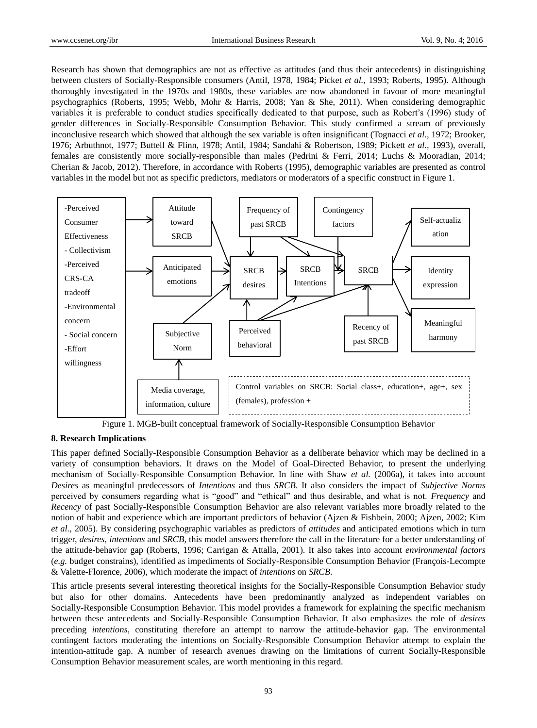Research has shown that demographics are not as effective as attitudes (and thus their antecedents) in distinguishing between clusters of Socially-Responsible consumers (Antil, 1978, 1984; Picket *et al.,* 1993; Roberts, 1995). Although thoroughly investigated in the 1970s and 1980s, these variables are now abandoned in favour of more meaningful psychographics (Roberts, 1995; Webb, Mohr & Harris, 2008; Yan & She, 2011). When considering demographic variables it is preferable to conduct studies specifically dedicated to that purpose, such as Robert's (1996) study of gender differences in Socially-Responsible Consumption Behavior. This study confirmed a stream of previously inconclusive research which showed that although the sex variable is often insignificant (Tognacci *et al.,* 1972; Brooker, 1976; Arbuthnot, 1977; Buttell & Flinn, 1978; Antil, 1984; Sandahi & Robertson, 1989; Pickett *et al.,* 1993), overall, females are consistently more socially-responsible than males (Pedrini & Ferri, 2014; Luchs & Mooradian, 2014; Cherian & Jacob, 2012). Therefore, in accordance with Roberts (1995), demographic variables are presented as control variables in the model but not as specific predictors, mediators or moderators of a specific construct in Figure 1.



Figure 1. MGB-built conceptual framework of Socially-Responsible Consumption Behavior

# **8. Research Implications**

This paper defined Socially-Responsible Consumption Behavior as a deliberate behavior which may be declined in a variety of consumption behaviors. It draws on the Model of Goal-Directed Behavior, to present the underlying mechanism of Socially-Responsible Consumption Behavior. In line with Shaw *et al.* (2006a), it takes into account *Desires* as meaningful predecessors of *Intentions* and thus *SRCB*. It also considers the impact of *Subjective Norms* perceived by consumers regarding what is "good" and "ethical" and thus desirable, and what is not. *Frequency* and *Recency* of past Socially-Responsible Consumption Behavior are also relevant variables more broadly related to the notion of habit and experience which are important predictors of behavior (Ajzen & Fishbein, 2000; Ajzen, 2002; Kim *et al.,* 2005). By considering psychographic variables as predictors of *attitudes* and anticipated emotions which in turn trigger, *desires*, *intentions* and *SRCB*, this model answers therefore the call in the literature for a better understanding of the attitude-behavior gap (Roberts, 1996; Carrigan & Attalla, 2001). It also takes into account *environmental factors* (*e.g.* budget constrains), identified as impediments of Socially-Responsible Consumption Behavior (François-Lecompte & Valette-Florence, 2006), which moderate the impact of *intentions* on *SRCB*.

This article presents several interesting theoretical insights for the Socially-Responsible Consumption Behavior study but also for other domains. Antecedents have been predominantly analyzed as independent variables on Socially-Responsible Consumption Behavior. This model provides a framework for explaining the specific mechanism between these antecedents and Socially-Responsible Consumption Behavior. It also emphasizes the role of *desires* preceding *intentions*, constituting therefore an attempt to narrow the attitude-behavior gap. The environmental contingent factors moderating the intentions on Socially-Responsible Consumption Behavior attempt to explain the intention-attitude gap. A number of research avenues drawing on the limitations of current Socially-Responsible Consumption Behavior measurement scales, are worth mentioning in this regard.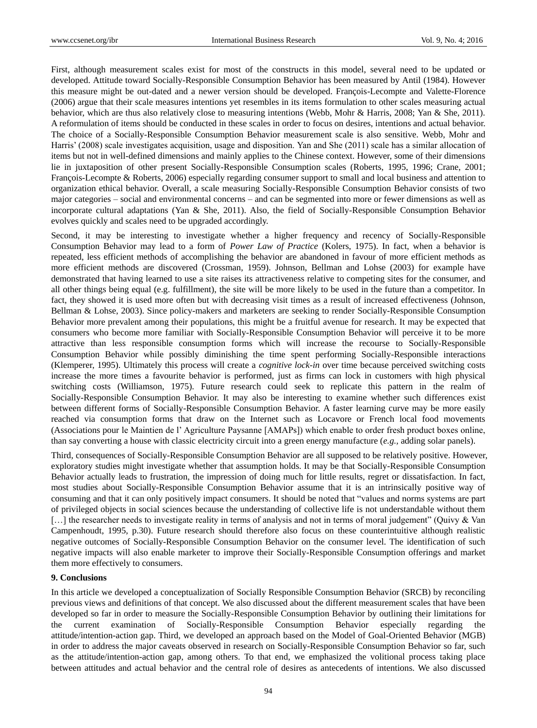First, although measurement scales exist for most of the constructs in this model, several need to be updated or developed. Attitude toward Socially-Responsible Consumption Behavior has been measured by Antil (1984). However this measure might be out-dated and a newer version should be developed. François-Lecompte and Valette-Florence (2006) argue that their scale measures intentions yet resembles in its items formulation to other scales measuring actual behavior, which are thus also relatively close to measuring intentions (Webb, Mohr & Harris, 2008; Yan & She, 2011). A reformulation of items should be conducted in these scales in order to focus on desires, intentions and actual behavior. The choice of a Socially-Responsible Consumption Behavior measurement scale is also sensitive. Webb, Mohr and Harris' (2008) scale investigates acquisition, usage and disposition. Yan and She (2011) scale has a similar allocation of items but not in well-defined dimensions and mainly applies to the Chinese context. However, some of their dimensions lie in juxtaposition of other present Socially-Responsible Consumption scales (Roberts, 1995, 1996; Crane, 2001; Fran cois-Lecompte & Roberts, 2006) especially regarding consumer support to small and local business and attention to organization ethical behavior. Overall, a scale measuring Socially-Responsible Consumption Behavior consists of two major categories – social and environmental concerns – and can be segmented into more or fewer dimensions as well as incorporate cultural adaptations (Yan & She, 2011). Also, the field of Socially-Responsible Consumption Behavior evolves quickly and scales need to be upgraded accordingly.

Second, it may be interesting to investigate whether a higher frequency and recency of Socially-Responsible Consumption Behavior may lead to a form of *Power Law of Practice* (Kolers, 1975). In fact, when a behavior is repeated, less efficient methods of accomplishing the behavior are abandoned in favour of more efficient methods as more efficient methods are discovered (Crossman, 1959). Johnson, Bellman and Lohse (2003) for example have demonstrated that having learned to use a site raises its attractiveness relative to competing sites for the consumer, and all other things being equal (e.g. fulfillment), the site will be more likely to be used in the future than a competitor. In fact, they showed it is used more often but with decreasing visit times as a result of increased effectiveness (Johnson, Bellman & Lohse, 2003). Since policy-makers and marketers are seeking to render Socially-Responsible Consumption Behavior more prevalent among their populations, this might be a fruitful avenue for research. It may be expected that consumers who become more familiar with Socially-Responsible Consumption Behavior will perceive it to be more attractive than less responsible consumption forms which will increase the recourse to Socially-Responsible Consumption Behavior while possibly diminishing the time spent performing Socially-Responsible interactions (Klemperer, 1995). Ultimately this process will create a *cognitive lock-in* over time because perceived switching costs increase the more times a favourite behavior is performed, just as firms can lock in customers with high physical switching costs (Williamson, 1975). Future research could seek to replicate this pattern in the realm of Socially-Responsible Consumption Behavior. It may also be interesting to examine whether such differences exist between different forms of Socially-Responsible Consumption Behavior. A faster learning curve may be more easily reached via consumption forms that draw on the Internet such as Locavore or French local food movements (Associations pour le Maintien de l' Agriculture Paysanne [AMAPs]) which enable to order fresh product boxes online, than say converting a house with classic electricity circuit into a green energy manufacture (*e.g.,* adding solar panels).

Third, consequences of Socially-Responsible Consumption Behavior are all supposed to be relatively positive. However, exploratory studies might investigate whether that assumption holds. It may be that Socially-Responsible Consumption Behavior actually leads to frustration, the impression of doing much for little results, regret or dissatisfaction. In fact, most studies about Socially-Responsible Consumption Behavior assume that it is an intrinsically positive way of consuming and that it can only positively impact consumers. It should be noted that "values and norms systems are part of privileged objects in social sciences because the understanding of collective life is not understandable without them [...] the researcher needs to investigate reality in terms of analysis and not in terms of moral judgement" (Quivy & Van Campenhoudt, 1995, p.30). Future research should therefore also focus on these counterintuitive although realistic negative outcomes of Socially-Responsible Consumption Behavior on the consumer level. The identification of such negative impacts will also enable marketer to improve their Socially-Responsible Consumption offerings and market them more effectively to consumers.

## **9. Conclusions**

In this article we developed a conceptualization of Socially Responsible Consumption Behavior (SRCB) by reconciling previous views and definitions of that concept. We also discussed about the different measurement scales that have been developed so far in order to measure the Socially-Responsible Consumption Behavior by outlining their limitations for the current examination of Socially-Responsible Consumption Behavior especially regarding the attitude/intention-action gap. Third, we developed an approach based on the Model of Goal-Oriented Behavior (MGB) in order to address the major caveats observed in research on Socially-Responsible Consumption Behavior so far, such as the attitude/intention-action gap, among others. To that end, we emphasized the volitional process taking place between attitudes and actual behavior and the central role of desires as antecedents of intentions. We also discussed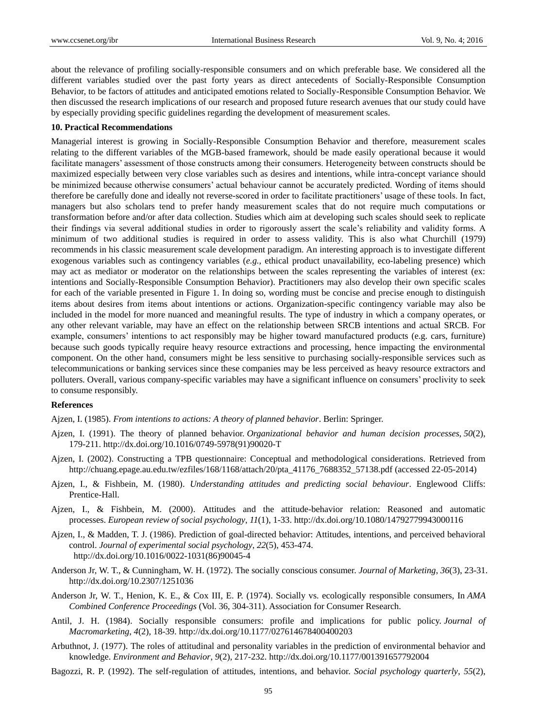about the relevance of profiling socially-responsible consumers and on which preferable base. We considered all the different variables studied over the past forty years as direct antecedents of Socially-Responsible Consumption Behavior, to be factors of attitudes and anticipated emotions related to Socially-Responsible Consumption Behavior. We then discussed the research implications of our research and proposed future research avenues that our study could have by especially providing specific guidelines regarding the development of measurement scales.

#### **10. Practical Recommendations**

Managerial interest is growing in Socially-Responsible Consumption Behavior and therefore, measurement scales relating to the different variables of the MGB-based framework, should be made easily operational because it would facilitate managers' assessment of those constructs among their consumers. Heterogeneity between constructs should be maximized especially between very close variables such as desires and intentions, while intra-concept variance should be minimized because otherwise consumers' actual behaviour cannot be accurately predicted. Wording of items should therefore be carefully done and ideally not reverse-scored in order to facilitate practitioners' usage of these tools. In fact, managers but also scholars tend to prefer handy measurement scales that do not require much computations or transformation before and/or after data collection. Studies which aim at developing such scales should seek to replicate their findings via several additional studies in order to rigorously assert the scale's reliability and validity forms. A minimum of two additional studies is required in order to assess validity. This is also what Churchill (1979) recommends in his classic measurement scale development paradigm. An interesting approach is to investigate different exogenous variables such as contingency variables (*e.g.,* ethical product unavailability, eco-labeling presence) which may act as mediator or moderator on the relationships between the scales representing the variables of interest (ex: intentions and Socially-Responsible Consumption Behavior). Practitioners may also develop their own specific scales for each of the variable presented in Figure 1. In doing so, wording must be concise and precise enough to distinguish items about desires from items about intentions or actions. Organization-specific contingency variable may also be included in the model for more nuanced and meaningful results. The type of industry in which a company operates, or any other relevant variable, may have an effect on the relationship between SRCB intentions and actual SRCB. For example, consumers' intentions to act responsibly may be higher toward manufactured products (e.g. cars, furniture) because such goods typically require heavy resource extractions and processing, hence impacting the environmental component. On the other hand, consumers might be less sensitive to purchasing socially-responsible services such as telecommunications or banking services since these companies may be less perceived as heavy resource extractors and polluters. Overall, various company-specific variables may have a significant influence on consumers' proclivity to seek to consume responsibly.

#### **References**

Ajzen, I. (1985). *From intentions to actions: A theory of planned behavior*. Berlin: Springer.

- Ajzen, I. (1991). The theory of planned behavior. *Organizational behavior and human decision processes*, *50*(2), 179-211. http://dx.doi.org/10.1016/0749-5978(91)90020-T
- Ajzen, I. (2002). Constructing a TPB questionnaire: Conceptual and methodological considerations. Retrieved from [http://chuang.epage.au.edu.tw/ezfiles/168/1168/attach/20/pta\\_41176\\_7688352\\_57138.pdf](http://chuang.epage.au.edu.tw/ezfiles/168/1168/attach/20/pta_41176_7688352_57138.pdf) (accessed 22-05-2014)
- Ajzen, I., & Fishbein, M. (1980). *Understanding attitudes and predicting social behaviour*. Englewood Cliffs: Prentice-Hall.
- Ajzen, I., & Fishbein, M. (2000). Attitudes and the attitude-behavior relation: Reasoned and automatic processes. *European review of social psychology*, *11*(1), 1-33. http://dx.doi.org/10.1080/14792779943000116
- Ajzen, I., & Madden, T. J. (1986). Prediction of goal-directed behavior: Attitudes, intentions, and perceived behavioral control. *Journal of experimental social psychology*, *22*(5), 453-474. http://dx.doi.org/10.1016/0022-1031(86)90045-4
- Anderson Jr, W. T., & Cunningham, W. H. (1972). The socially conscious consumer. *Journal of Marketing*, *36*(3), 23-31. http://dx.doi.org/10.2307/1251036
- Anderson Jr, W. T., Henion, K. E., & Cox III, E. P. (1974). Socially vs. ecologically responsible consumers, In *AMA Combined Conference Proceedings* (Vol. 36, 304-311). Association for Consumer Research.
- Antil, J. H. (1984). Socially responsible consumers: profile and implications for public policy. *Journal of Macromarketing*, *4*(2), 18-39. http://dx.doi.org/10.1177/027614678400400203
- Arbuthnot, J. (1977). The roles of attitudinal and personality variables in the prediction of environmental behavior and knowledge. *Environment and Behavior*, *9*(2), 217-232. http://dx.doi.org/10.1177/001391657792004
- Bagozzi, R. P. (1992). The self-regulation of attitudes, intentions, and behavior. *Social psychology quarterly*, *55*(2),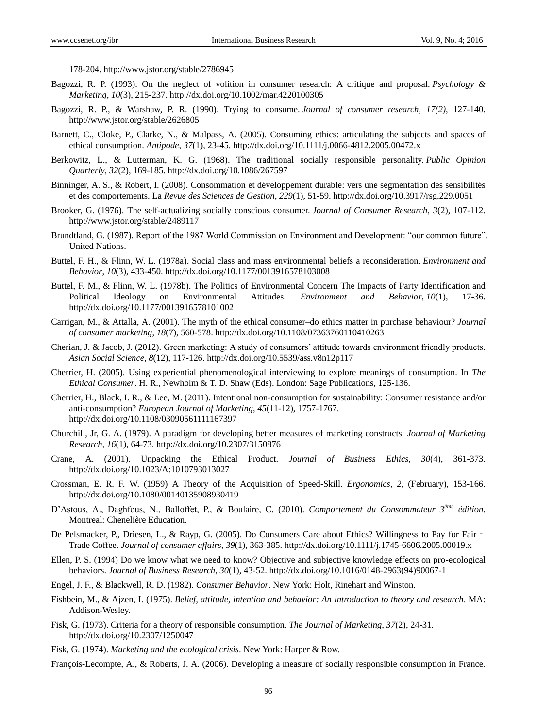178-204. http://www.jstor.org/stable/2786945

- Bagozzi, R. P. (1993). On the neglect of volition in consumer research: A critique and proposal. *Psychology & Marketing*, *10*(3), 215-237. http://dx.doi.org/10.1002/mar.4220100305
- Bagozzi, R. P., & Warshaw, P. R. (1990). Trying to consume. *Journal of consumer research*, *17(2)*, 127-140. http://www.jstor.org/stable/2626805
- Barnett, C., Cloke, P., Clarke, N., & Malpass, A. (2005). Consuming ethics: articulating the subjects and spaces of ethical consumption. *Antipode*, *37*(1), 23-45. http://dx.doi.org/10.1111/j.0066-4812.2005.00472.x
- Berkowitz, L., & Lutterman, K. G. (1968). The traditional socially responsible personality. *Public Opinion Quarterly*, *32*(2), 169-185. http://dx.doi.org/10.1086/267597
- Binninger, A. S., & Robert, I. (2008). Consommation et développement durable: vers une segmentation des sensibilités et des comportements. La *Revue des Sciences de Gestion*, *229*(1), 51-59. http://dx.doi.org/10.3917/rsg.229.0051
- Brooker, G. (1976). The self-actualizing socially conscious consumer. *Journal of Consumer Research*, *3*(2), 107-112. http://www.jstor.org/stable/2489117
- Brundtland, G. (1987). Report of the 1987 World Commission on Environment and Development: "our common future". United Nations.
- Buttel, F. H., & Flinn, W. L. (1978a). Social class and mass environmental beliefs a reconsideration. *Environment and Behavior*, *10*(3), 433-450. http://dx.doi.org/10.1177/0013916578103008
- Buttel, F. M., & Flinn, W. L. (1978b). The Politics of Environmental Concern The Impacts of Party Identification and Political Ideology on Environmental Attitudes. *Environment and Behavior*, *10*(1), 17-36. http://dx.doi.org/10.1177/0013916578101002
- Carrigan, M., & Attalla, A. (2001). The myth of the ethical consumer–do ethics matter in purchase behaviour? *Journal of consumer marketing*, *18*(7), 560-578. http://dx.doi.org/10.1108/07363760110410263
- Cherian, J. & Jacob, J. (2012). Green marketing: A study of consumers' attitude towards environment friendly products. *Asian Social Science*, *8*(12), 117-126. http://dx.doi.org/10.5539/ass.v8n12p117
- Cherrier, H. (2005). Using experiential phenomenological interviewing to explore meanings of consumption. In *The Ethical Consumer*. H. R., Newholm & T. D. Shaw (Eds). London: Sage Publications, 125-136.
- Cherrier, H., Black, I. R., & Lee, M. (2011). Intentional non-consumption for sustainability: Consumer resistance and/or anti-consumption? *European Journal of Marketing*, *45*(11-12), 1757-1767. http://dx.doi.org/10.1108/03090561111167397
- Churchill, Jr, G. A. (1979). A paradigm for developing better measures of marketing constructs. *Journal of Marketing Research*, *16*(1), 64-73. http://dx.doi.org/10.2307/3150876
- Crane, A. (2001). Unpacking the Ethical Product. *Journal of Business Ethics*, *30*(4), 361-373. http://dx.doi.org/10.1023/A:1010793013027
- Crossman, E. R. F. W. (1959) A Theory of the Acquisition of Speed-Skill. *Ergonomics, 2*, (February), 153-166. http://dx.doi.org/10.1080/00140135908930419
- D'Astous, A., Daghfous, N., Balloffet, P., & Boulaire, C. (2010). *Comportement du Consommateur 3ème édition*. Montreal: Chenelière Education.
- De Pelsmacker, P., Driesen, L., & Rayp, G. (2005). Do Consumers Care about Ethics? Willingness to Pay for Fair -Trade Coffee. *Journal of consumer affairs*, *39*(1), 363-385. http://dx.doi.org/10.1111/j.1745-6606.2005.00019.x
- Ellen, P. S. (1994) Do we know what we need to know? Objective and subjective knowledge effects on pro-ecological behaviors. *Journal of Business Research*, *30*(1), 43-52. [http://dx.doi.org/10.1016/0148-2963\(94\)90067-1](http://dx.doi.org/10.1016/0148-2963(94)90067-1)
- Engel, J. F., & Blackwell, R. D. (1982). *Consumer Behavior*. New York: Holt, Rinehart and Winston.
- Fishbein, M., & Ajzen, I. (1975). *Belief, attitude, intention and behavior: An introduction to theory and research*. MA: Addison-Wesley.
- Fisk, G. (1973). Criteria for a theory of responsible consumption. *The Journal of Marketing*, *37*(2), 24-31. http://dx.doi.org/10.2307/1250047
- Fisk, G. (1974). *Marketing and the ecological crisis*. New York: Harper & Row.

Fran  $\omega$ is-Lecompte, A., & Roberts, J. A. (2006). Developing a measure of socially responsible consumption in France.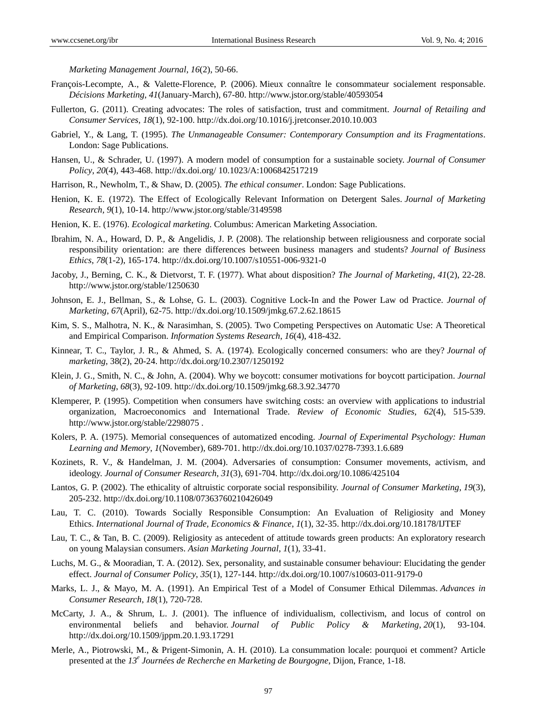*Marketing Management Journal*, *16*(2), 50-66.

- François-Lecompte, A., & Valette-Florence, P. (2006). Mieux connaître le consommateur socialement responsable. *Décisions Marketing*, *41*(January-March), 67-80. http://www.jstor.org/stable/40593054
- Fullerton, G. (2011). Creating advocates: The roles of satisfaction, trust and commitment. *Journal of Retailing and Consumer Services*, *18*(1), 92-100. http://dx.doi.org[/10.1016/j.jretconser.2010.10.003](http://dx.doi.org/10.1016/j.jretconser.2010.10.003)
- Gabriel, Y., & Lang, T. (1995). *The Unmanageable Consumer: Contemporary Consumption and its Fragmentations*. London: Sage Publications.
- Hansen, U., & Schrader, U. (1997). A modern model of consumption for a sustainable society. *Journal of Consumer Policy*, *20*(4), 443-468. http://dx.doi.org/ 10.1023/A:1006842517219
- Harrison, R., Newholm, T., & Shaw, D. (2005). *The ethical consumer*. London: Sage Publications.
- Henion, K. E. (1972). The Effect of Ecologically Relevant Information on Detergent Sales. *Journal of Marketing Research, 9*(1), 10-14. http://www.jstor.org/stable/3149598
- Henion, K. E. (1976). *Ecological marketing.* Columbus: American Marketing Association.
- Ibrahim, N. A., Howard, D. P., & Angelidis, J. P. (2008). The relationship between religiousness and corporate social responsibility orientation: are there differences between business managers and students? *Journal of Business Ethics*, *78*(1-2), 165-174. http://dx.doi.org/10.1007/s10551-006-9321-0
- Jacoby, J., Berning, C. K., & Dietvorst, T. F. (1977). What about disposition? *The Journal of Marketing*, *41*(2), 22-28. http://www.jstor.org/stable/1250630
- Johnson, E. J., Bellman, S., & Lohse, G. L. (2003). Cognitive Lock-In and the Power Law od Practice. *Journal of Marketing, 67*(April), 62-75. <http://dx.doi.org/10.1509/jmkg.67.2.62.18615>
- Kim, S. S., Malhotra, N. K., & Narasimhan, S. (2005). Two Competing Perspectives on Automatic Use: A Theoretical and Empirical Comparison. *Information Systems Research*, *16*(4), 418-432.
- Kinnear, T. C., Taylor, J. R., & Ahmed, S. A. (1974). Ecologically concerned consumers: who are they? *Journal of marketing*, 38(2), 20-24. http://dx.doi.org/10.2307/1250192
- Klein, J. G., Smith, N. C., & John, A. (2004). Why we boycott: consumer motivations for boycott participation. *Journal of Marketing*, *68*(3), 92-109. <http://dx.doi.org/10.1509/jmkg.68.3.92.34770>
- Klemperer, P. (1995). Competition when consumers have switching costs: an overview with applications to industrial organization, Macroeconomics and International Trade. *Review of Economic Studies*, *62*(4), 515-539. http://www.jstor.org/stable/2298075 .
- Kolers, P. A. (1975). Memorial consequences of automatized encoding. *Journal of Experimental Psychology: Human Learning and Memory*, *1*(November), 689-701. [http://dx.doi.org/10.1037/0278-7393.1.6.689](http://psycnet.apa.org/doi/10.1037/0278-7393.1.6.689)
- Kozinets, R. V., & Handelman, J. M. (2004). Adversaries of consumption: Consumer movements, activism, and ideology. *Journal of Consumer Research*, *31*(3), 691-704. <http://dx.doi.org/10.1086/425104>
- Lantos, G. P. (2002). The ethicality of altruistic corporate social responsibility. *Journal of Consumer Marketing*, *19*(3), 205-232. http://dx.doi.org/10.1108/07363760210426049
- Lau, T. C. (2010). Towards Socially Responsible Consumption: An Evaluation of Religiosity and Money Ethics. *International Journal of Trade, Economics & Finance*, *1*(1), 32-35. http://dx.doi.org/10.18178/IJTEF
- Lau, T. C., & Tan, B. C. (2009). Religiosity as antecedent of attitude towards green products: An exploratory research on young Malaysian consumers. *Asian Marketing Journal*, *1*(1), 33-41.
- Luchs, M. G., & Mooradian, T. A. (2012). Sex, personality, and sustainable consumer behaviour: Elucidating the gender effect. *Journal of Consumer Policy*, *35*(1), 127-144. http://dx.doi.org/10.1007/s10603-011-9179-0
- Marks, L. J., & Mayo, M. A. (1991). An Empirical Test of a Model of Consumer Ethical Dilemmas. *Advances in Consumer Research*, *18*(1), 720-728.
- McCarty, J. A., & Shrum, L. J. (2001). The influence of individualism, collectivism, and locus of control on environmental beliefs and behavior. *Journal of Public Policy & Marketing*, *20*(1), 93-104. <http://dx.doi.org/10.1509/jppm.20.1.93.17291>
- Merle, A., Piotrowski, M., & Prigent-Simonin, A. H. (2010). La consummation locale: pourquoi et comment? Article presented at the *13<sup>e</sup> Journées de Recherche en Marketing de Bourgogne*, Dijon, France, 1-18.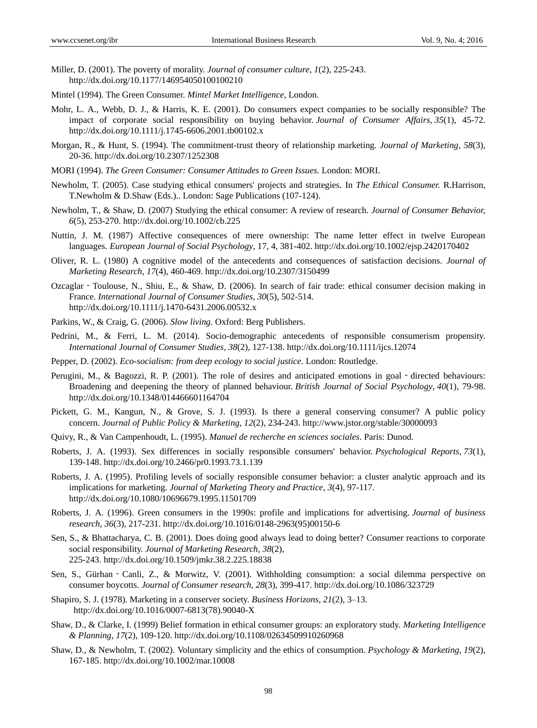- Miller, D. (2001). The poverty of morality. *Journal of consumer culture*, *1*(2), 225-243. http://dx.doi.org/10.1177/146954050100100210
- Mintel (1994). The Green Consumer. *Mintel Market Intelligence*, London.
- Mohr, L. A., Webb, D. J., & Harris, K. E. (2001). Do consumers expect companies to be socially responsible? The impact of corporate social responsibility on buying behavior. *Journal of Consumer Affairs*, *35*(1), 45-72. http://dx.doi.org/10.1111/j.1745-6606.2001.tb00102.x
- Morgan, R., & Hunt, S. (1994). The commitment-trust theory of relationship marketing. *Journal of Marketing*, *58*(3), 20-36. http://dx.doi.org/10.2307/1252308
- MORI (1994). *The Green Consumer: Consumer Attitudes to Green Issues*. London: MORI.
- Newholm, T. (2005). Case studying ethical consumers' projects and strategies. In *The Ethical Consumer.* R.Harrison, T.Newholm & D.Shaw (Eds.).. London: Sage Publications (107-124).
- Newholm, T., & Shaw, D. (2007) Studying the ethical consumer: A review of research. *Journal of Consumer Behavior, 6*(5), 253-270[. http://dx.doi.org/10.1002/cb.225](http://psycnet.apa.org/doi/10.1002/cb.225)
- Nuttin, J. M. (1987) Affective consequences of mere ownership: The name letter effect in twelve European languages. *European Journal of Social Psychology*, 17, 4, 381-402. http://dx.doi.org/10.1002/ejsp.2420170402
- Oliver, R. L. (1980) A cognitive model of the antecedents and consequences of satisfaction decisions. *Journal of Marketing Research*, *17*(4), 460-469. http://dx.doi.org/10.2307/3150499
- Ozcaglar Toulouse, N., Shiu, E., & Shaw, D. (2006). In search of fair trade: ethical consumer decision making in France. *International Journal of Consumer Studies*, *30*(5), 502-514. http://dx.doi.org/10.1111/j.1470-6431.2006.00532.x
- Parkins, W., & Craig, G. (2006). *Slow living*. Oxford: Berg Publishers.
- Pedrini, M., & Ferri, L. M. (2014). Socio-demographic antecedents of responsible consumerism propensity. *International Journal of Consumer Studies*, *38*(2), 127-138. http://dx.doi.org/10.1111/ijcs.12074
- Pepper, D. (2002). *Eco-socialism: from deep ecology to social justice*. London: Routledge.
- Perugini, M., & Bagozzi, R. P. (2001). The role of desires and anticipated emotions in goal directed behaviours: Broadening and deepening the theory of planned behaviour. *British Journal of Social Psychology*, *40*(1), 79-98. http://dx.doi.org/10.1348/014466601164704
- Pickett, G. M., Kangun, N., & Grove, S. J. (1993). Is there a general conserving consumer? A public policy concern. *Journal of Public Policy & Marketing*, *12*(2), 234-243. http://www.jstor.org/stable/30000093
- Quivy, R., & Van Campenhoudt, L. (1995). *Manuel de recherche en sciences sociales*. Paris: Dunod.
- Roberts, J. A. (1993). Sex differences in socially responsible consumers' behavior. *Psychological Reports*, *73*(1), 139-148. http://dx.doi.org/10.2466/pr0.1993.73.1.139
- Roberts, J. A. (1995). Profiling levels of socially responsible consumer behavior: a cluster analytic approach and its implications for marketing. *Journal of Marketing Theory and Practice*, *3*(4), 97-117. http://dx.doi.org/10.1080/10696679.1995.11501709
- Roberts, J. A. (1996). Green consumers in the 1990s: profile and implications for advertising. *Journal of business research*, *36*(3), 217-231. http://dx.doi.org/10.1016/0148-2963(95)00150-6
- Sen, S., & Bhattacharya, C. B. (2001). Does doing good always lead to doing better? Consumer reactions to corporate social responsibility. *Journal of Marketing Research*, *38*(2), 225-243. <http://dx.doi.org/10.1509/jmkr.38.2.225.18838>
- Sen, S., Gürhan Canli, Z., & Morwitz, V. (2001). Withholding consumption: a social dilemma perspective on consumer boycotts. *Journal of Consumer research*, *28*(3), 399-417. http://dx.doi.org/10.1086/323729
- Shapiro, S. J. (1978). Marketing in a conserver society. *Business Horizons, 21*(2), 3–13. http://dx.doi.org/10.1016/0007-6813(78).90040-X
- Shaw, D., & Clarke, I. (1999) Belief formation in ethical consumer groups: an exploratory study. *Marketing Intelligence & Planning*, *17*(2), 109-120. http://dx.doi.org/10.1108/02634509910260968
- Shaw, D., & Newholm, T. (2002). Voluntary simplicity and the ethics of consumption. *Psychology & Marketing*, *19*(2), 167-185. http://dx.doi.org/10.1002/mar.10008